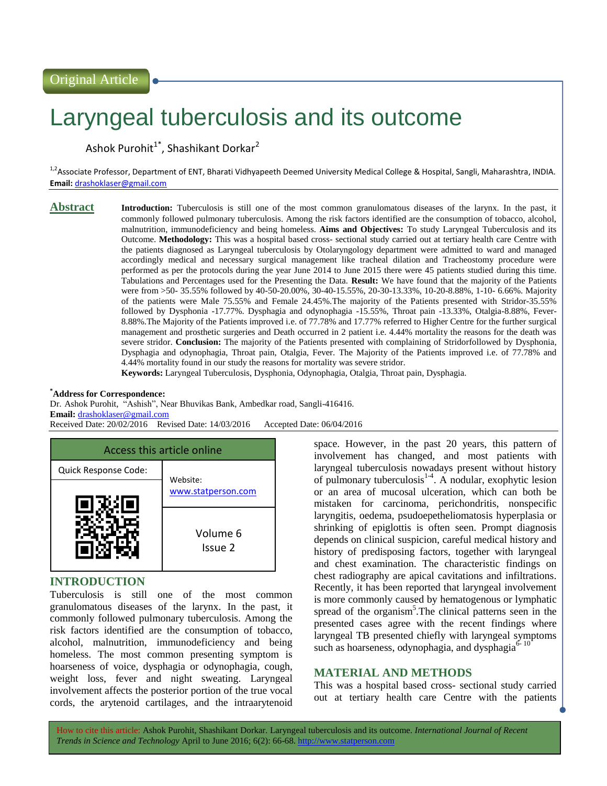# Laryngeal tuberculosis and its outcome

Ashok Purohit $^{1^*}$ , Shashikant Dorkar $^2$ 

<sup>1,2</sup>Associate Professor, Department of ENT, Bharati Vidhyapeeth Deemed University Medical College & Hospital, Sangli, Maharashtra, INDIA. **Email:** [drashoklaser@gmail.com](mailto:drashoklaser@gmail.com)

**Abstract Introduction:** Tuberculosis is still one of the most common granulomatous diseases of the larynx. In the past, it commonly followed pulmonary tuberculosis. Among the risk factors identified are the consumption of tobacco, alcohol, malnutrition, immunodeficiency and being homeless. **Aims and Objectives:** To study Laryngeal Tuberculosis and its Outcome. **Methodology:** This was a hospital based cross- sectional study carried out at tertiary health care Centre with the patients diagnosed as Laryngeal tuberculosis by Otolaryngology department were admitted to ward and managed accordingly medical and necessary surgical management like tracheal dilation and Tracheostomy procedure were performed as per the protocols during the year June 2014 to June 2015 there were 45 patients studied during this time. Tabulations and Percentages used for the Presenting the Data. **Result:** We have found that the majority of the Patients were from >50- 35.55% followed by 40-50-20.00%, 30-40-15.55%, 20-30-13.33%, 10-20-8.88%, 1-10- 6.66%. Majority of the patients were Male 75.55% and Female 24.45%.The majority of the Patients presented with Stridor-35.55% followed by Dysphonia -17.77%. Dysphagia and odynophagia -15.55%, Throat pain -13.33%, Otalgia-8.88%, Fever-8.88%.The Majority of the Patients improved i.e. of 77.78% and 17.77% referred to Higher Centre for the further surgical management and prosthetic surgeries and Death occurred in 2 patient i.e. 4.44% mortality the reasons for the death was severe stridor. **Conclusion:** The majority of the Patients presented with complaining of Stridorfollowed by Dysphonia, Dysphagia and odynophagia, Throat pain, Otalgia, Fever. The Majority of the Patients improved i.e. of 77.78% and 4.44% mortality found in our study the reasons for mortality was severe stridor.

**Keywords:** Laryngeal Tuberculosis, Dysphonia, Odynophagia, Otalgia, Throat pain, Dysphagia.

#### **\*Address for Correspondence:**

Dr. Ashok Purohit, "Ashish", Near Bhuvikas Bank, Ambedkar road, Sangli-416416. **Email:** [drashoklaser@gmail.com](mailto:drashoklaser@gmail.com)

Received Date: 20/02/2016 Revised Date: 14/03/2016 Accepted Date: 06/04/2016



## **INTRODUCTION**

Tuberculosis is still one of the most common granulomatous diseases of the larynx. In the past, it commonly followed pulmonary tuberculosis. Among the risk factors identified are the consumption of tobacco, alcohol, malnutrition, immunodeficiency and being homeless. The most common presenting symptom is hoarseness of voice, dysphagia or odynophagia, cough, weight loss, fever and night sweating. Laryngeal involvement affects the posterior portion of the true vocal cords, the arytenoid cartilages, and the intraarytenoid space. However, in the past 20 years, this pattern of involvement has changed, and most patients with laryngeal tuberculosis nowadays present without history of pulmonary tuberculosis<sup>1-4</sup>. A nodular, exophytic lesion or an area of mucosal ulceration, which can both be mistaken for carcinoma, perichondritis, nonspecific laryngitis, oedema, psudoepetheliomatosis hyperplasia or shrinking of epiglottis is often seen. Prompt diagnosis depends on clinical suspicion, careful medical history and history of predisposing factors, together with laryngeal and chest examination. The characteristic findings on chest radiography are apical cavitations and infiltrations. Recently, it has been reported that laryngeal involvement is more commonly caused by hematogenous or lymphatic spread of the organism<sup>5</sup>. The clinical patterns seen in the presented cases agree with the recent findings where laryngeal TB presented chiefly with laryngeal symptoms such as hoarseness, odynophagia, and dysphagia $6-10$ 

## **MATERIAL AND METHODS**

This was a hospital based cross- sectional study carried out at tertiary health care Centre with the patients

How to cite this article: Ashok Purohit, Shashikant Dorkar*.* Laryngeal tuberculosis and its outcome. *International Journal of Recent Trends in Science and Technology* April to June 2016; 6(2): 66-68. http://www.statperson.com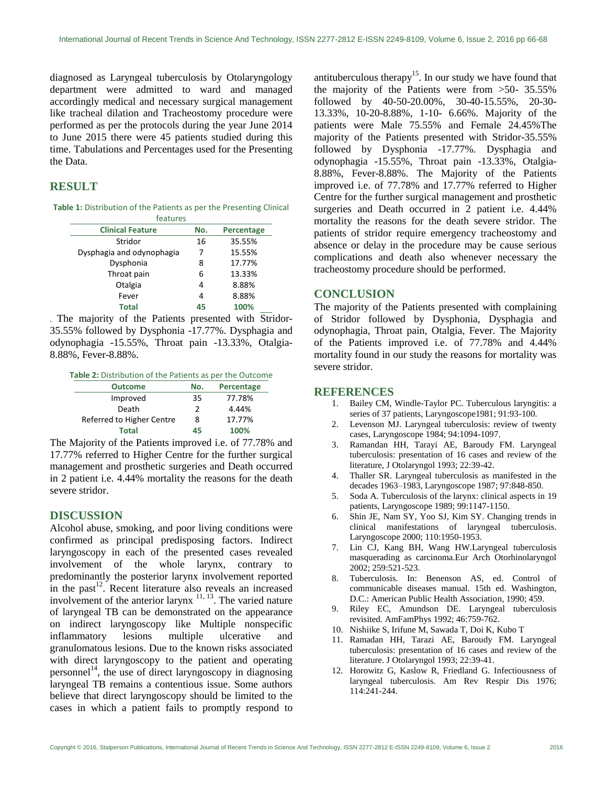diagnosed as Laryngeal tuberculosis by Otolaryngology department were admitted to ward and managed accordingly medical and necessary surgical management like tracheal dilation and Tracheostomy procedure were performed as per the protocols during the year June 2014 to June 2015 there were 45 patients studied during this time. Tabulations and Percentages used for the Presenting the Data.

# **RESULT**

| Table 1: Distribution of the Patients as per the Presenting Clinical |  |
|----------------------------------------------------------------------|--|
| <b>Landinana</b>                                                     |  |

| icatulcs                  |     |            |  |
|---------------------------|-----|------------|--|
| <b>Clinical Feature</b>   | No. | Percentage |  |
| Stridor                   | 16  | 35.55%     |  |
| Dysphagia and odynophagia | 7   | 15.55%     |  |
| Dysphonia                 | 8   | 17.77%     |  |
| Throat pain               | 6   | 13.33%     |  |
| Otalgia                   | 4   | 8.88%      |  |
| Fever                     | 4   | 8.88%      |  |
| <b>Total</b>              | 45  | 100%       |  |

. The majority of the Patients presented with Stridor-35.55% followed by Dysphonia -17.77%. Dysphagia and odynophagia -15.55%, Throat pain -13.33%, Otalgia-8.88%, Fever-8.88%.

| <b>Outcome</b>            | No. | Percentage |
|---------------------------|-----|------------|
| Improved                  | 35  | 77.78%     |
| Death                     | 2   | 4.44%      |
| Referred to Higher Centre | 8   | 17.77%     |
| <b>Total</b>              | 45  | 100%       |

The Majority of the Patients improved i.e. of 77.78% and 17.77% referred to Higher Centre for the further surgical management and prosthetic surgeries and Death occurred in 2 patient i.e. 4.44% mortality the reasons for the death severe stridor.

### **DISCUSSION**

Alcohol abuse, smoking, and poor living conditions were confirmed as principal predisposing factors. Indirect laryngoscopy in each of the presented cases revealed involvement of the whole larynx, contrary to predominantly the posterior larynx involvement reported in the past<sup>12</sup>. Recent literature also reveals an increased involvement of the anterior larynx  $\frac{11}{11}$ , 13. The varied nature of laryngeal TB can be demonstrated on the appearance on indirect laryngoscopy like Multiple nonspecific inflammatory lesions multiple ulcerative and granulomatous lesions. Due to the known risks associated with direct laryngoscopy to the patient and operating personnel<sup>14</sup>, the use of direct laryngoscopy in diagnosing laryngeal TB remains a contentious issue. Some authors believe that direct laryngoscopy should be limited to the cases in which a patient fails to promptly respond to

antituberculous therapy<sup>15</sup>. In our study we have found that the majority of the Patients were from  $>50-35.55\%$ followed by 40-50-20.00%, 30-40-15.55%, 20-30- 13.33%, 10-20-8.88%, 1-10- 6.66%. Majority of the patients were Male 75.55% and Female 24.45%The majority of the Patients presented with Stridor-35.55% followed by Dysphonia -17.77%. Dysphagia and odynophagia -15.55%, Throat pain -13.33%, Otalgia-8.88%, Fever-8.88%. The Majority of the Patients improved i.e. of 77.78% and 17.77% referred to Higher Centre for the further surgical management and prosthetic surgeries and Death occurred in 2 patient i.e. 4.44% mortality the reasons for the death severe stridor. The patients of stridor require emergency tracheostomy and absence or delay in the procedure may be cause serious complications and death also whenever necessary the tracheostomy procedure should be performed.

## **CONCLUSION**

The majority of the Patients presented with complaining of Stridor followed by Dysphonia, Dysphagia and odynophagia, Throat pain, Otalgia, Fever. The Majority of the Patients improved i.e. of 77.78% and 4.44% mortality found in our study the reasons for mortality was severe stridor.

#### **REFERENCES**

- 1. Bailey CM, Windle-Taylor PC. Tuberculous laryngitis: a series of 37 patients, Laryngoscope1981; 91:93-100.
- 2. Levenson MJ. Laryngeal tuberculosis: review of twenty cases, Laryngoscope 1984; 94:1094-1097.
- 3. Ramandan HH, Tarayi AE, Baroudy FM. Laryngeal tuberculosis: presentation of 16 cases and review of the literature, J Otolaryngol 1993; 22:39-42.
- 4. Thaller SR. Laryngeal tuberculosis as manifested in the decades 1963–1983, Laryngoscope 1987; 97:848-850.
- 5. Soda A. Tuberculosis of the larynx: clinical aspects in 19 patients, Laryngoscope 1989; 99:1147-1150.
- 6. Shin JE, Nam SY, Yoo SJ, Kim SY. Changing trends in clinical manifestations of laryngeal tuberculosis. Laryngoscope 2000; 110:1950-1953.
- 7. Lin CJ, Kang BH, Wang HW.Laryngeal tuberculosis masquerading as carcinoma.Eur Arch Otorhinolaryngol 2002; 259:521-523.
- 8. Tuberculosis. In: Benenson AS, ed. Control of communicable diseases manual. 15th ed. Washington, D.C.: American Public Health Association, 1990; 459.
- 9. Riley EC, Amundson DE. Laryngeal tuberculosis revisited. AmFamPhys 1992; 46:759-762.
- 10. Nishiike S, Irifune M, Sawada T, Doi K, Kubo T
- 11. Ramadan HH, Tarazi AE, Baroudy FM. Laryngeal tuberculosis: presentation of 16 cases and review of the literature. J Otolaryngol 1993; 22:39-41.
- 12. Horowitz G, Kaslow R, Friedland G. Infectiousness of laryngeal tuberculosis. Am Rev Respir Dis 1976; 114:241-244.